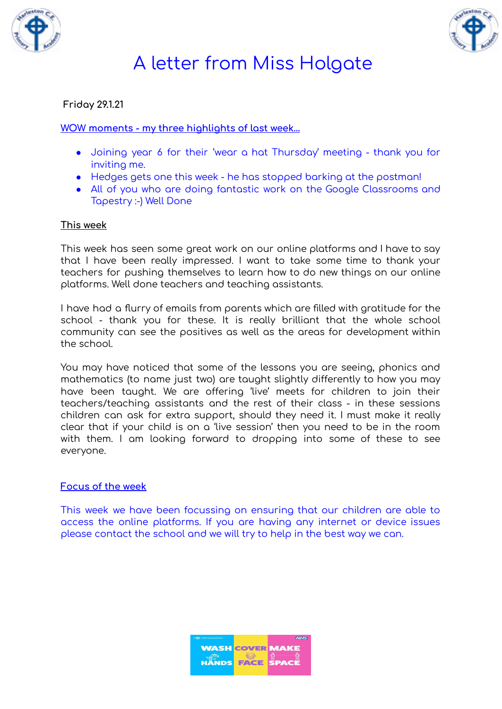



# A letter from Miss Holgate

### **Friday 29.1.21**

### **WOW moments - my three highlights of last week…**

- Joining year 6 for their 'wear a hat Thursday' meeting thank you for inviting me.
- Hedges gets one this week he has stopped barking at the postman!
- All of you who are doing fantastic work on the Google Classrooms and Tapestry :-) Well Done

#### **This week**

This week has seen some great work on our online platforms and I have to say that I have been really impressed. I want to take some time to thank your teachers for pushing themselves to learn how to do new things on our online platforms. Well done teachers and teaching assistants.

I have had a flurry of emails from parents which are filled with gratitude for the school - thank you for these. It is really brilliant that the whole school community can see the positives as well as the areas for development within the school.

You may have noticed that some of the lessons you are seeing, phonics and mathematics (to name just two) are taught slightly differently to how you may have been taught. We are offering 'live' meets for children to join their teachers/teaching assistants and the rest of their class - in these sessions children can ask for extra support, should they need it. I must make it really clear that if your child is on a 'live session' then you need to be in the room with them. I am looking forward to dropping into some of these to see everyone.

### **Focus of the week**

This week we have been focussing on ensuring that our children are able to access the online platforms. If you are having any internet or device issues please contact the school and we will try to help in the best way we can.

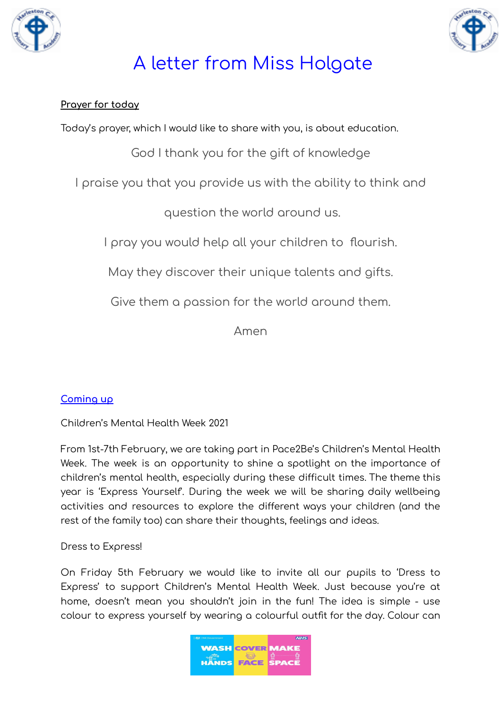



# A letter from Miss Holgate

### **Prayer for today**

Today's prayer, which I would like to share with you, is about education.

God I thank you for the gift of knowledge

I praise you that you provide us with the ability to think and

question the world around us.

I pray you would help all your children to flourish.

May they discover their unique talents and gifts.

Give them a passion for the world around them.

Amen

### **Coming up**

Children's Mental Health Week 2021

From 1st-7th February, we are taking part in Pace2Be's Children's Mental Health Week. The week is an opportunity to shine a spotlight on the importance of children's mental health, especially during these difficult times. The theme this year is 'Express Yourself'. During the week we will be sharing daily wellbeing activities and resources to explore the different ways your children (and the rest of the family too) can share their thoughts, feelings and ideas.

Dress to Express!

On Friday 5th February we would like to invite all our pupils to 'Dress to Express' to support Children's Mental Health Week. Just because you're at home, doesn't mean you shouldn't join in the fun! The idea is simple - use colour to express yourself by wearing a colourful outfit for the day. Colour can